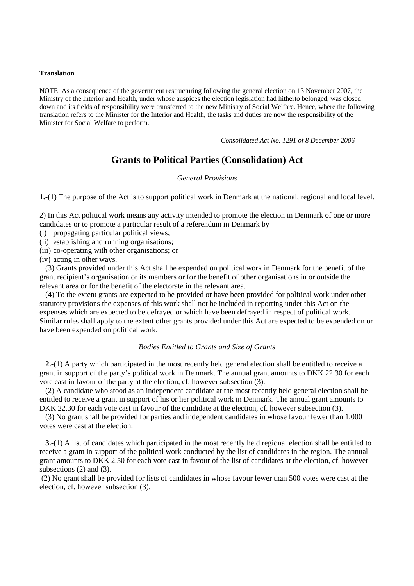#### **Translation**

NOTE: As a consequence of the government restructuring following the general election on 13 November 2007, the Ministry of the Interior and Health, under whose auspices the election legislation had hitherto belonged, was closed down and its fields of responsibility were transferred to the new Ministry of Social Welfare. Hence, where the following translation refers to the Minister for the Interior and Health, the tasks and duties are now the responsibility of the Minister for Social Welfare to perform.

*Consolidated Act No. 1291 of 8 December 2006* 

# **Grants to Political Parties (Consolidation) Act**

### *General Provisions*

**1.-**(1) The purpose of the Act is to support political work in Denmark at the national, regional and local level.

2) In this Act political work means any activity intended to promote the election in Denmark of one or more candidates or to promote a particular result of a referendum in Denmark by

(i) propagating particular political views;

(ii) establishing and running organisations;

(iii) co-operating with other organisations; or

(iv) acting in other ways.

(3) Grants provided under this Act shall be expended on political work in Denmark for the benefit of the grant recipient's organisation or its members or for the benefit of other organisations in or outside the relevant area or for the benefit of the electorate in the relevant area.

(4) To the extent grants are expected to be provided or have been provided for political work under other statutory provisions the expenses of this work shall not be included in reporting under this Act on the expenses which are expected to be defrayed or which have been defrayed in respect of political work. Similar rules shall apply to the extent other grants provided under this Act are expected to be expended on or have been expended on political work.

## *Bodies Entitled to Grants and Size of Grants*

**2.-**(1) A party which participated in the most recently held general election shall be entitled to receive a grant in support of the party's political work in Denmark. The annual grant amounts to DKK 22.30 for each vote cast in favour of the party at the election, cf. however subsection (3).

(2) A candidate who stood as an independent candidate at the most recently held general election shall be entitled to receive a grant in support of his or her political work in Denmark. The annual grant amounts to DKK 22.30 for each vote cast in favour of the candidate at the election, cf. however subsection (3).

(3) No grant shall be provided for parties and independent candidates in whose favour fewer than 1,000 votes were cast at the election.

**3.-**(1) A list of candidates which participated in the most recently held regional election shall be entitled to receive a grant in support of the political work conducted by the list of candidates in the region. The annual grant amounts to DKK 2.50 for each vote cast in favour of the list of candidates at the election, cf. however subsections (2) and (3).

(2) No grant shall be provided for lists of candidates in whose favour fewer than 500 votes were cast at the election, cf. however subsection (3).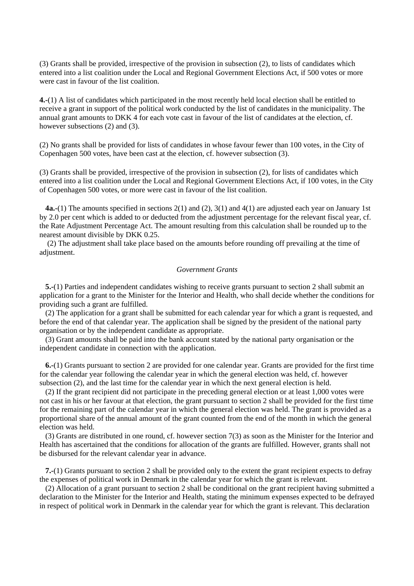(3) Grants shall be provided, irrespective of the provision in subsection (2), to lists of candidates which entered into a list coalition under the Local and Regional Government Elections Act, if 500 votes or more were cast in favour of the list coalition.

**4.-**(1) A list of candidates which participated in the most recently held local election shall be entitled to receive a grant in support of the political work conducted by the list of candidates in the municipality. The annual grant amounts to DKK 4 for each vote cast in favour of the list of candidates at the election, cf. however subsections (2) and (3).

(2) No grants shall be provided for lists of candidates in whose favour fewer than 100 votes, in the City of Copenhagen 500 votes, have been cast at the election, cf. however subsection (3).

(3) Grants shall be provided, irrespective of the provision in subsection (2), for lists of candidates which entered into a list coalition under the Local and Regional Government Elections Act, if 100 votes, in the City of Copenhagen 500 votes, or more were cast in favour of the list coalition.

**4a.-**(1) The amounts specified in sections 2(1) and (2), 3(1) and 4(1) are adjusted each year on January 1st by 2.0 per cent which is added to or deducted from the adjustment percentage for the relevant fiscal year, cf. the Rate Adjustment Percentage Act. The amount resulting from this calculation shall be rounded up to the nearest amount divisible by DKK 0.25.

(2) The adjustment shall take place based on the amounts before rounding off prevailing at the time of adjustment.

#### *Government Grants*

**5.-**(1) Parties and independent candidates wishing to receive grants pursuant to section 2 shall submit an application for a grant to the Minister for the Interior and Health, who shall decide whether the conditions for providing such a grant are fulfilled.

(2) The application for a grant shall be submitted for each calendar year for which a grant is requested, and before the end of that calendar year. The application shall be signed by the president of the national party organisation or by the independent candidate as appropriate.

(3) Grant amounts shall be paid into the bank account stated by the national party organisation or the independent candidate in connection with the application.

**6.-**(1) Grants pursuant to section 2 are provided for one calendar year. Grants are provided for the first time for the calendar year following the calendar year in which the general election was held, cf. however subsection (2), and the last time for the calendar year in which the next general election is held.

(2) If the grant recipient did not participate in the preceding general election or at least 1,000 votes were not cast in his or her favour at that election, the grant pursuant to section 2 shall be provided for the first time for the remaining part of the calendar year in which the general election was held. The grant is provided as a proportional share of the annual amount of the grant counted from the end of the month in which the general election was held.

(3) Grants are distributed in one round, cf. however section 7(3) as soon as the Minister for the Interior and Health has ascertained that the conditions for allocation of the grants are fulfilled. However, grants shall not be disbursed for the relevant calendar year in advance.

**7.-**(1) Grants pursuant to section 2 shall be provided only to the extent the grant recipient expects to defray the expenses of political work in Denmark in the calendar year for which the grant is relevant.

(2) Allocation of a grant pursuant to section 2 shall be conditional on the grant recipient having submitted a declaration to the Minister for the Interior and Health, stating the minimum expenses expected to be defrayed in respect of political work in Denmark in the calendar year for which the grant is relevant. This declaration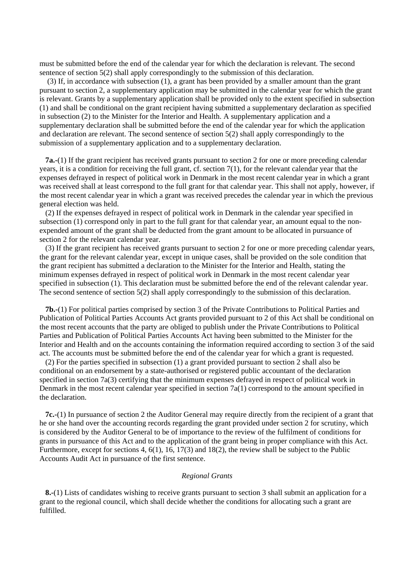must be submitted before the end of the calendar year for which the declaration is relevant. The second sentence of section 5(2) shall apply correspondingly to the submission of this declaration.

 (3) If, in accordance with subsection (1), a grant has been provided by a smaller amount than the grant pursuant to section 2, a supplementary application may be submitted in the calendar year for which the grant is relevant. Grants by a supplementary application shall be provided only to the extent specified in subsection (1) and shall be conditional on the grant recipient having submitted a supplementary declaration as specified in subsection (2) to the Minister for the Interior and Health. A supplementary application and a supplementary declaration shall be submitted before the end of the calendar year for which the application and declaration are relevant. The second sentence of section 5(2) shall apply correspondingly to the submission of a supplementary application and to a supplementary declaration.

**7a.-**(1) If the grant recipient has received grants pursuant to section 2 for one or more preceding calendar years, it is a condition for receiving the full grant, cf. section 7(1), for the relevant calendar year that the expenses defrayed in respect of political work in Denmark in the most recent calendar year in which a grant was received shall at least correspond to the full grant for that calendar year. This shall not apply, however, if the most recent calendar year in which a grant was received precedes the calendar year in which the previous general election was held.

(2) If the expenses defrayed in respect of political work in Denmark in the calendar year specified in subsection (1) correspond only in part to the full grant for that calendar year, an amount equal to the nonexpended amount of the grant shall be deducted from the grant amount to be allocated in pursuance of section 2 for the relevant calendar year.

(3) If the grant recipient has received grants pursuant to section 2 for one or more preceding calendar years, the grant for the relevant calendar year, except in unique cases, shall be provided on the sole condition that the grant recipient has submitted a declaration to the Minister for the Interior and Health, stating the minimum expenses defrayed in respect of political work in Denmark in the most recent calendar year specified in subsection (1). This declaration must be submitted before the end of the relevant calendar year. The second sentence of section 5(2) shall apply correspondingly to the submission of this declaration.

**7b.-**(1) For political parties comprised by section 3 of the Private Contributions to Political Parties and Publication of Political Parties Accounts Act grants provided pursuant to 2 of this Act shall be conditional on the most recent accounts that the party are obliged to publish under the Private Contributions to Political Parties and Publication of Political Parties Accounts Act having been submitted to the Minister for the Interior and Health and on the accounts containing the information required according to section 3 of the said act. The accounts must be submitted before the end of the calendar year for which a grant is requested.

(2) For the parties specified in subsection (1) a grant provided pursuant to section 2 shall also be conditional on an endorsement by a state-authorised or registered public accountant of the declaration specified in section 7a(3) certifying that the minimum expenses defrayed in respect of political work in Denmark in the most recent calendar year specified in section 7a(1) correspond to the amount specified in the declaration.

**7c.-**(1) In pursuance of section 2 the Auditor General may require directly from the recipient of a grant that he or she hand over the accounting records regarding the grant provided under section 2 for scrutiny, which is considered by the Auditor General to be of importance to the review of the fulfilment of conditions for grants in pursuance of this Act and to the application of the grant being in proper compliance with this Act. Furthermore, except for sections 4, 6(1), 16, 17(3) and 18(2), the review shall be subject to the Public Accounts Audit Act in pursuance of the first sentence.

#### *Regional Grants*

**8.-**(1) Lists of candidates wishing to receive grants pursuant to section 3 shall submit an application for a grant to the regional council, which shall decide whether the conditions for allocating such a grant are fulfilled.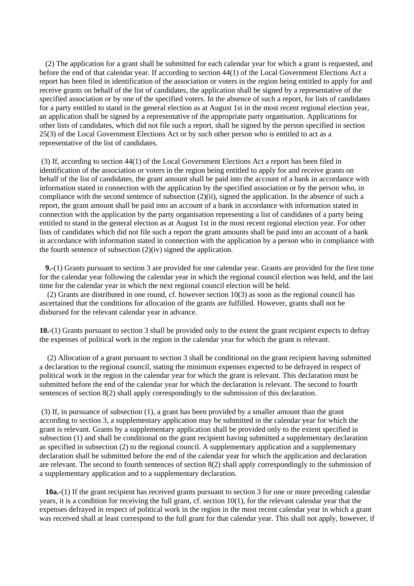(2) The application for a grant shall be submitted for each calendar year for which a grant is requested, and before the end of that calendar year. If according to section 44(1) of the Local Government Elections Act a report has been filed in identification of the association or voters in the region being entitled to apply for and receive grants on behalf of the list of candidates, the application shall be signed by a representative of the specified association or by one of the specified voters. In the absence of such a report, for lists of candidates for a party entitled to stand in the general election as at August 1st in the most recent regional election year, an application shall be signed by a representative of the appropriate party organisation. Applications for other lists of candidates, which did not file such a report, shall be signed by the person specified in section 25(3) of the Local Government Elections Act or by such other person who is entitled to act as a representative of the list of candidates.

(3) If, according to section 44(1) of the Local Government Elections Act a report has been filed in identification of the association or voters in the region being entitled to apply for and receive grants on behalf of the list of candidates, the grant amount shall be paid into the account of a bank in accordance with information stated in connection with the application by the specified association or by the person who, in compliance with the second sentence of subsection (2)(ii), signed the application. In the absence of such a report, the grant amount shall be paid into an account of a bank in accordance with information stated in connection with the application by the party organisation representing a list of candidates of a party being entitled to stand in the general election as at August 1st in the most recent regional election year. For other lists of candidates which did not file such a report the grant amounts shall be paid into an account of a bank in accordance with information stated in connection with the application by a person who in compliance with the fourth sentence of subsection (2)(iv) signed the application.

**9.-**(1) Grants pursuant to section 3 are provided for one calendar year. Grants are provided for the first time for the calendar year following the calendar year in which the regional council election was held, and the last time for the calendar year in which the next regional council election will be held.

(2) Grants are distributed in one round, cf. however section 10(3) as soon as the regional council has ascertained that the conditions for allocation of the grants are fulfilled. However, grants shall not be disbursed for the relevant calendar year in advance.

**10.-**(1) Grants pursuant to section 3 shall be provided only to the extent the grant recipient expects to defray the expenses of political work in the region in the calendar year for which the grant is relevant.

(2) Allocation of a grant pursuant to section 3 shall be conditional on the grant recipient having submitted a declaration to the regional council, stating the minimum expenses expected to be defrayed in respect of political work in the region in the calendar year for which the grant is relevant. This declaration must be submitted before the end of the calendar year for which the declaration is relevant. The second to fourth sentences of section 8(2) shall apply correspondingly to the submission of this declaration.

(3) If, in pursuance of subsection (1), a grant has been provided by a smaller amount than the grant according to section 3, a supplementary application may be submitted in the calendar year for which the grant is relevant. Grants by a supplementary application shall be provided only to the extent specified in subsection (1) and shall be conditional on the grant recipient having submitted a supplementary declaration as specified in subsection (2) to the regional council. A supplementary application and a supplementary declaration shall be submitted before the end of the calendar year for which the application and declaration are relevant. The second to fourth sentences of section 8(2) shall apply correspondingly to the submission of a supplementary application and to a supplementary declaration.

**10a.-**(1) If the grant recipient has received grants pursuant to section 3 for one or more preceding calendar years, it is a condition for receiving the full grant, cf. section 10(1), for the relevant calendar year that the expenses defrayed in respect of political work in the region in the most recent calendar year in which a grant was received shall at least correspond to the full grant for that calendar year. This shall not apply, however, if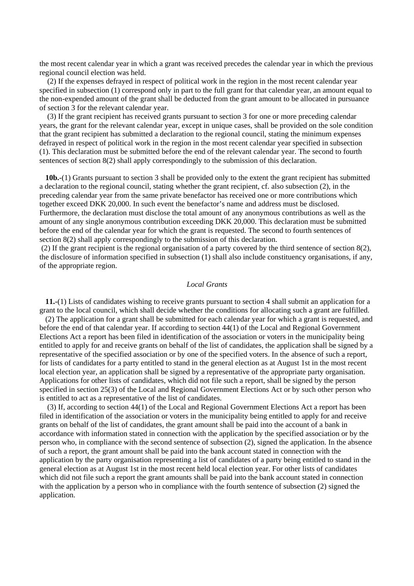the most recent calendar year in which a grant was received precedes the calendar year in which the previous regional council election was held.

(2) If the expenses defrayed in respect of political work in the region in the most recent calendar year specified in subsection (1) correspond only in part to the full grant for that calendar year, an amount equal to the non-expended amount of the grant shall be deducted from the grant amount to be allocated in pursuance of section 3 for the relevant calendar year.

(3) If the grant recipient has received grants pursuant to section 3 for one or more preceding calendar years, the grant for the relevant calendar year, except in unique cases, shall be provided on the sole condition that the grant recipient has submitted a declaration to the regional council, stating the minimum expenses defrayed in respect of political work in the region in the most recent calendar year specified in subsection (1). This declaration must be submitted before the end of the relevant calendar year. The second to fourth sentences of section 8(2) shall apply correspondingly to the submission of this declaration.

**10b.-**(1) Grants pursuant to section 3 shall be provided only to the extent the grant recipient has submitted a declaration to the regional council, stating whether the grant recipient, cf. also subsection (2), in the preceding calendar year from the same private benefactor has received one or more contributions which together exceed DKK 20,000. In such event the benefactor's name and address must be disclosed. Furthermore, the declaration must disclose the total amount of any anonymous contributions as well as the amount of any single anonymous contribution exceeding DKK 20,000. This declaration must be submitted before the end of the calendar year for which the grant is requested. The second to fourth sentences of section 8(2) shall apply correspondingly to the submission of this declaration.

(2) If the grant recipient is the regional organisation of a party covered by the third sentence of section 8(2), the disclosure of information specified in subsection (1) shall also include constituency organisations, if any, of the appropriate region.

#### *Local Grants*

**11.-**(1) Lists of candidates wishing to receive grants pursuant to section 4 shall submit an application for a grant to the local council, which shall decide whether the conditions for allocating such a grant are fulfilled.

(2) The application for a grant shall be submitted for each calendar year for which a grant is requested, and before the end of that calendar year. If according to section 44(1) of the Local and Regional Government Elections Act a report has been filed in identification of the association or voters in the municipality being entitled to apply for and receive grants on behalf of the list of candidates, the application shall be signed by a representative of the specified association or by one of the specified voters. In the absence of such a report, for lists of candidates for a party entitled to stand in the general election as at August 1st in the most recent local election year, an application shall be signed by a representative of the appropriate party organisation. Applications for other lists of candidates, which did not file such a report, shall be signed by the person specified in section 25(3) of the Local and Regional Government Elections Act or by such other person who is entitled to act as a representative of the list of candidates.

(3) If, according to section 44(1) of the Local and Regional Government Elections Act a report has been filed in identification of the association or voters in the municipality being entitled to apply for and receive grants on behalf of the list of candidates, the grant amount shall be paid into the account of a bank in accordance with information stated in connection with the application by the specified association or by the person who, in compliance with the second sentence of subsection (2), signed the application. In the absence of such a report, the grant amount shall be paid into the bank account stated in connection with the application by the party organisation representing a list of candidates of a party being entitled to stand in the general election as at August 1st in the most recent held local election year. For other lists of candidates which did not file such a report the grant amounts shall be paid into the bank account stated in connection with the application by a person who in compliance with the fourth sentence of subsection (2) signed the application.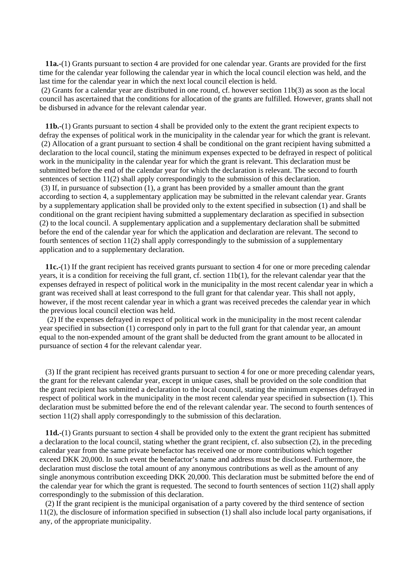**11a.-**(1) Grants pursuant to section 4 are provided for one calendar year. Grants are provided for the first time for the calendar year following the calendar year in which the local council election was held, and the last time for the calendar year in which the next local council election is held.

(2) Grants for a calendar year are distributed in one round, cf. however section 11b(3) as soon as the local council has ascertained that the conditions for allocation of the grants are fulfilled. However, grants shall not be disbursed in advance for the relevant calendar year.

**11b.-**(1) Grants pursuant to section 4 shall be provided only to the extent the grant recipient expects to defray the expenses of political work in the municipality in the calendar year for which the grant is relevant. (2) Allocation of a grant pursuant to section 4 shall be conditional on the grant recipient having submitted a declaration to the local council, stating the minimum expenses expected to be defrayed in respect of political work in the municipality in the calendar year for which the grant is relevant. This declaration must be submitted before the end of the calendar year for which the declaration is relevant. The second to fourth sentences of section 11(2) shall apply correspondingly to the submission of this declaration. (3) If, in pursuance of subsection (1), a grant has been provided by a smaller amount than the grant according to section 4, a supplementary application may be submitted in the relevant calendar year. Grants by a supplementary application shall be provided only to the extent specified in subsection (1) and shall be conditional on the grant recipient having submitted a supplementary declaration as specified in subsection (2) to the local council. A supplementary application and a supplementary declaration shall be submitted before the end of the calendar year for which the application and declaration are relevant. The second to fourth sentences of section 11(2) shall apply correspondingly to the submission of a supplementary application and to a supplementary declaration.

**11c.-**(1) If the grant recipient has received grants pursuant to section 4 for one or more preceding calendar years, it is a condition for receiving the full grant, cf. section 11b(1), for the relevant calendar year that the expenses defrayed in respect of political work in the municipality in the most recent calendar year in which a grant was received shall at least correspond to the full grant for that calendar year. This shall not apply, however, if the most recent calendar year in which a grant was received precedes the calendar year in which the previous local council election was held.

(2) If the expenses defrayed in respect of political work in the municipality in the most recent calendar year specified in subsection (1) correspond only in part to the full grant for that calendar year, an amount equal to the non-expended amount of the grant shall be deducted from the grant amount to be allocated in pursuance of section 4 for the relevant calendar year.

(3) If the grant recipient has received grants pursuant to section 4 for one or more preceding calendar years, the grant for the relevant calendar year, except in unique cases, shall be provided on the sole condition that the grant recipient has submitted a declaration to the local council, stating the minimum expenses defrayed in respect of political work in the municipality in the most recent calendar year specified in subsection (1). This declaration must be submitted before the end of the relevant calendar year. The second to fourth sentences of section 11(2) shall apply correspondingly to the submission of this declaration.

**11d.-**(1) Grants pursuant to section 4 shall be provided only to the extent the grant recipient has submitted a declaration to the local council, stating whether the grant recipient, cf. also subsection (2), in the preceding calendar year from the same private benefactor has received one or more contributions which together exceed DKK 20,000. In such event the benefactor's name and address must be disclosed. Furthermore, the declaration must disclose the total amount of any anonymous contributions as well as the amount of any single anonymous contribution exceeding DKK 20,000. This declaration must be submitted before the end of the calendar year for which the grant is requested. The second to fourth sentences of section 11(2) shall apply correspondingly to the submission of this declaration.

(2) If the grant recipient is the municipal organisation of a party covered by the third sentence of section 11(2), the disclosure of information specified in subsection (1) shall also include local party organisations, if any, of the appropriate municipality.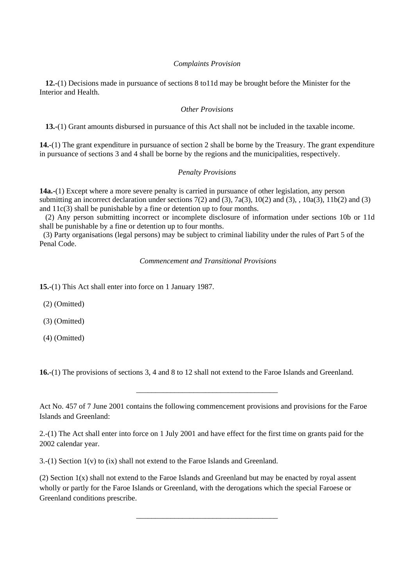## *Complaints Provision*

**12.-**(1) Decisions made in pursuance of sections 8 to11d may be brought before the Minister for the Interior and Health.

### *Other Provisions*

**13.-**(1) Grant amounts disbursed in pursuance of this Act shall not be included in the taxable income.

**14.-**(1) The grant expenditure in pursuance of section 2 shall be borne by the Treasury. The grant expenditure in pursuance of sections 3 and 4 shall be borne by the regions and the municipalities, respectively.

## *Penalty Provisions*

**14a.-**(1) Except where a more severe penalty is carried in pursuance of other legislation, any person submitting an incorrect declaration under sections 7(2) and (3), 7a(3), 10(2) and (3), , 10a(3), 11b(2) and (3) and 11c(3) shall be punishable by a fine or detention up to four months.

(2) Any person submitting incorrect or incomplete disclosure of information under sections 10b or 11d shall be punishable by a fine or detention up to four months.

(3) Party organisations (legal persons) may be subject to criminal liability under the rules of Part 5 of the Penal Code.

 *Commencement and Transitional Provisions* 

**15.-**(1) This Act shall enter into force on 1 January 1987.

(2) (Omitted)

(3) (Omitted)

(4) (Omitted)

**16.-**(1) The provisions of sections 3, 4 and 8 to 12 shall not extend to the Faroe Islands and Greenland.

\_\_\_\_\_\_\_\_\_\_\_\_\_\_\_\_\_\_\_\_\_\_\_\_\_\_\_\_\_\_\_\_\_\_\_\_\_

3.-(1) Section 1(v) to (ix) shall not extend to the Faroe Islands and Greenland.

(2) Section 1(x) shall not extend to the Faroe Islands and Greenland but may be enacted by royal assent wholly or partly for the Faroe Islands or Greenland, with the derogations which the special Faroese or Greenland conditions prescribe.

\_\_\_\_\_\_\_\_\_\_\_\_\_\_\_\_\_\_\_\_\_\_\_\_\_\_\_\_\_\_\_\_\_\_\_\_\_

Act No. 457 of 7 June 2001 contains the following commencement provisions and provisions for the Faroe Islands and Greenland:

<sup>2.-(1)</sup> The Act shall enter into force on 1 July 2001 and have effect for the first time on grants paid for the 2002 calendar year.